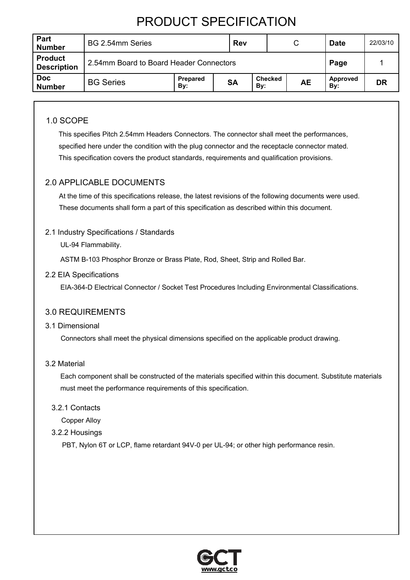| Part<br><b>Number</b>                | BG 2.54mm Series                                                                       |  |  | <b>Rev</b> |  |  | C               | <b>Date</b> | 22/03/10 |
|--------------------------------------|----------------------------------------------------------------------------------------|--|--|------------|--|--|-----------------|-------------|----------|
| <b>Product</b><br><b>Description</b> | 2.54mm Board to Board Header Connectors                                                |  |  |            |  |  | Page            |             |          |
| <b>Doc</b><br><b>Number</b>          | <b>Checked</b><br>Prepared<br><b>BG Series</b><br><b>SA</b><br><b>AE</b><br>By:<br>By: |  |  |            |  |  | Approved<br>By: | DR          |          |

## 1.0 SCOPE

 This specifies Pitch 2.54mm Headers Connectors. The connector shall meet the performances, specified here under the condition with the plug connector and the receptacle connector mated. This specification covers the product standards, requirements and qualification provisions.

## 2.0 APPLICABLE DOCUMENTS

At the time of this specifications release, the latest revisions of the following documents were used. These documents shall form a part of this specification as described within this document.

### 2.1 Industry Specifications / Standards

UL-94 Flammability.

ASTM B-103 Phosphor Bronze or Brass Plate, Rod, Sheet, Strip and Rolled Bar.

#### 2.2 EIA Specifications

EIA-364-D Electrical Connector / Socket Test Procedures Including Environmental Classifications.

## 3.0 REQUIREMENTS

#### 3.1 Dimensional

Connectors shall meet the physical dimensions specified on the applicable product drawing.

#### 3.2 Material

Each component shall be constructed of the materials specified within this document. Substitute materials must meet the performance requirements of this specification.

3.2.1 Contacts

Copper Alloy

#### 3.2.2 Housings

PBT, Nylon 6T or LCP, flame retardant 94V-0 per UL-94; or other high performance resin.

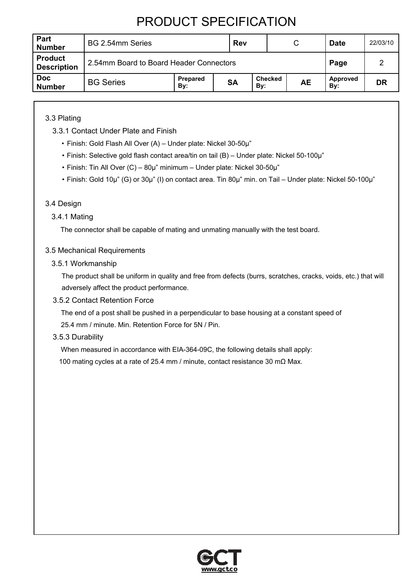| Part<br><b>Number</b>                | BG 2.54mm Series                                                                |  |  | <b>Rev</b><br>C |  |  |                 | <b>Date</b> | 22/03/10 |
|--------------------------------------|---------------------------------------------------------------------------------|--|--|-----------------|--|--|-----------------|-------------|----------|
| <b>Product</b><br><b>Description</b> | 2.54mm Board to Board Header Connectors                                         |  |  |                 |  |  | Page            |             |          |
| <b>Doc</b><br><b>Number</b>          | <b>Checked</b><br>Prepared<br><b>BG Series</b><br><b>SA</b><br>AЕ<br>By:<br>By: |  |  |                 |  |  | Approved<br>By: | DR          |          |

3.3 Plating

- 3.3.1 Contact Under Plate and Finish
	- Finish: Gold Flash All Over (A) Under plate: Nickel 30-50µ"
	- Finish: Selective gold flash contact area/tin on tail (B) Under plate: Nickel 50-100µ"
	- Finish: Tin All Over (C) 80µ" minimum Under plate: Nickel 30-50µ"
	- Finish: Gold 10µ" (G) or 30µ" (I) on contact area. Tin 80µ" min. on Tail Under plate: Nickel 50-100µ"

### 3.4 Design

### 3.4.1 Mating

The connector shall be capable of mating and unmating manually with the test board.

### 3.5 Mechanical Requirements

3.5.1 Workmanship

 The product shall be uniform in quality and free from defects (burrs, scratches, cracks, voids, etc.) that will adversely affect the product performance.

#### 3.5.2 Contact Retention Force

 The end of a post shall be pushed in a perpendicular to base housing at a constant speed of 25.4 mm / minute. Min. Retention Force for 5N / Pin.

#### 3.5.3 Durability

 When measured in accordance with EIA-364-09C, the following details shall apply: 100 mating cycles at a rate of 25.4 mm / minute, contact resistance 30 mΩ Max.

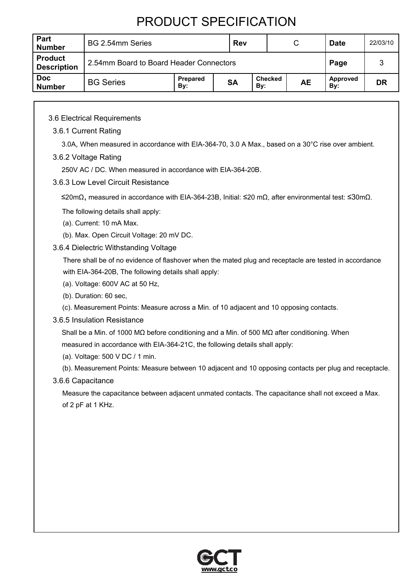| Part<br><b>Number</b>                | BG 2.54mm Series                                                                       |  |  | <b>Rev</b> |  |  | C<br><b>Date</b>       |    | 22/03/10 |
|--------------------------------------|----------------------------------------------------------------------------------------|--|--|------------|--|--|------------------------|----|----------|
| <b>Product</b><br><b>Description</b> | 2.54mm Board to Board Header Connectors                                                |  |  |            |  |  | Page                   |    |          |
| <b>Doc</b><br><b>Number</b>          | <b>Checked</b><br>Prepared<br><b>BG Series</b><br><b>SA</b><br><b>AE</b><br>Bv:<br>By: |  |  |            |  |  | <b>Approved</b><br>By: | DR |          |

#### 3.6 Electrical Requirements

#### 3.6.1 Current Rating

3.0A, When measured in accordance with EIA-364-70, 3.0 A Max., based on a 30°C rise over ambient.

#### 3.6.2 Voltage Rating

250V AC / DC. When measured in accordance with EIA-364-20B.

#### 3.6.3 Low Level Circuit Resistance

≤20mΩ, measured in accordance with EIA-364-23B, Initial: ≤20 mΩ, after environmental test: ≤30mΩ.

The following details shall apply:

- (a). Current: 10 mA Max.
- (b). Max. Open Circuit Voltage: 20 mV DC.
- 3.6.4 Dielectric Withstanding Voltage

There shall be of no evidence of flashover when the mated plug and receptacle are tested in accordance with EIA-364-20B, The following details shall apply:

- (a). Voltage: 600V AC at 50 Hz,
- (b). Duration: 60 sec,
- (c). Measurement Points: Measure across a Min. of 10 adjacent and 10 opposing contacts.

#### 3.6.5 Insulation Resistance

 Shall be a Min. of 1000 MΩ before conditioning and a Min. of 500 MΩ after conditioning. When measured in accordance with EIA-364-21C, the following details shall apply:

- (a). Voltage: 500 V DC / 1 min.
- (b). Measurement Points: Measure between 10 adjacent and 10 opposing contacts per plug and receptacle.

#### 3.6.6 Capacitance

 Measure the capacitance between adjacent unmated contacts. The capacitance shall not exceed a Max. of 2 pF at 1 KHz.

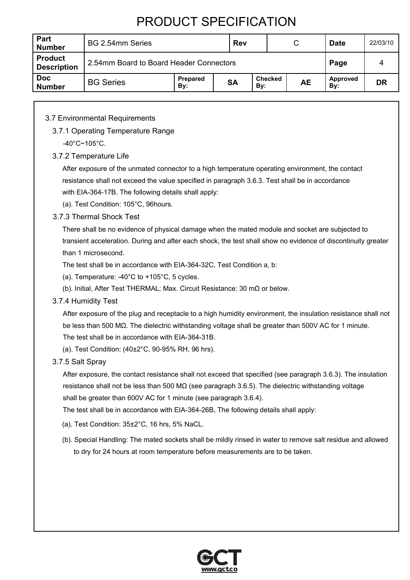| Part<br><b>Number</b>                | BG 2.54mm Series                                                                       |  |  | <b>Rev</b> |  |  | C               | <b>Date</b> | 22/03/10 |
|--------------------------------------|----------------------------------------------------------------------------------------|--|--|------------|--|--|-----------------|-------------|----------|
| <b>Product</b><br><b>Description</b> | 2.54mm Board to Board Header Connectors                                                |  |  |            |  |  | Page            |             |          |
| <b>Doc</b><br><b>Number</b>          | <b>Checked</b><br>Prepared<br><b>BG Series</b><br><b>SA</b><br><b>AE</b><br>By:<br>By: |  |  |            |  |  | Approved<br>By: | DR          |          |

### 3.7 Environmental Requirements

3.7.1 Operating Temperature Range

-40°C~105°C.

#### 3.7.2 Temperature Life

 After exposure of the unmated connector to a high temperature operating environment, the contact resistance shall not exceed the value specified in paragraph 3.6.3. Test shall be in accordance with EIA-364-17B. The following details shall apply:

(a). Test Condition: 105°C, 96hours.

3.7.3 Thermal Shock Test

 There shall be no evidence of physical damage when the mated module and socket are subjected to transient acceleration. During and after each shock, the test shall show no evidence of discontinuity greater than 1 microsecond.

The test shall be in accordance with EIA-364-32C, Test Condition a, b:

- (a). Temperature: -40°C to +105°C, 5 cycles.
- (b). Initial, After Test THERMAL: Max. Circuit Resistance: 30 mΩ or below.
- 3.7.4 Humidity Test

 After exposure of the plug and receptacle to a high humidity environment, the insulation resistance shall not be less than 500 MΩ. The dielectric withstanding voltage shall be greater than 500V AC for 1 minute.

The test shall be in accordance with EIA-364-31B.

(a). Test Condition: (40±2°C, 90-95% RH, 96 hrs).

3.7.5 Salt Spray

 After exposure, the contact resistance shall not exceed that specified (see paragraph 3.6.3). The insulation resistance shall not be less than 500 M $\Omega$  (see paragraph 3.6.5). The dielectric withstanding voltage shall be greater than 600V AC for 1 minute (see paragraph 3.6.4).

The test shall be in accordance with EIA-364-26B, The following details shall apply:

- (a). Test Condition: 35±2°C, 16 hrs, 5% NaCL.
- (b). Special Handling: The mated sockets shall be mildly rinsed in water to remove salt residue and allowed to dry for 24 hours at room temperature before measurements are to be taken.

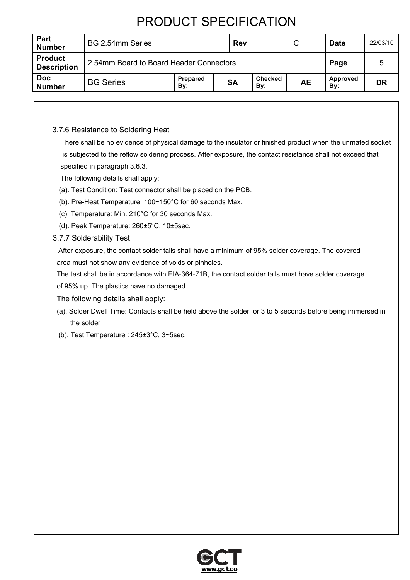| Part<br><b>Number</b>                | BG 2.54mm Series                                                                       |  |  | <b>Rev</b> |  | C | <b>Date</b>     | 22/03/10 |
|--------------------------------------|----------------------------------------------------------------------------------------|--|--|------------|--|---|-----------------|----------|
| <b>Product</b><br><b>Description</b> | 2.54mm Board to Board Header Connectors                                                |  |  |            |  |   | Page            |          |
| <b>Doc</b><br><b>Number</b>          | <b>Checked</b><br>Prepared<br><b>SA</b><br><b>BG Series</b><br><b>AE</b><br>By:<br>By: |  |  |            |  |   | Approved<br>By: | DR       |

### 3.7.6 Resistance to Soldering Heat

 There shall be no evidence of physical damage to the insulator or finished product when the unmated socket is subjected to the reflow soldering process. After exposure, the contact resistance shall not exceed that specified in paragraph 3.6.3.

The following details shall apply:

- (a). Test Condition: Test connector shall be placed on the PCB.
- (b). Pre-Heat Temperature: 100~150°C for 60 seconds Max.
- (c). Temperature: Min. 210°C for 30 seconds Max.
- (d). Peak Temperature: 260±5°C, 10±5sec.
- 3.7.7 Solderability Test

 After exposure, the contact solder tails shall have a minimum of 95% solder coverage. The covered area must not show any evidence of voids or pinholes.

The test shall be in accordance with EIA-364-71B, the contact solder tails must have solder coverage

of 95% up. The plastics have no damaged.

- The following details shall apply:
- (a). Solder Dwell Time: Contacts shall be held above the solder for 3 to 5 seconds before being immersed in the solder
- (b). Test Temperature : 245±3°C, 3~5sec.

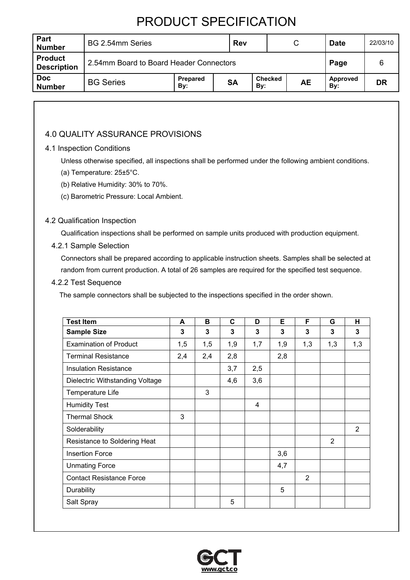| Part<br><b>Number</b>                | BG 2.54mm Series                                                                       |  |  | <b>Rev</b> |  |  | C               | <b>Date</b> | 22/03/10 |
|--------------------------------------|----------------------------------------------------------------------------------------|--|--|------------|--|--|-----------------|-------------|----------|
| <b>Product</b><br><b>Description</b> | 2.54mm Board to Board Header Connectors                                                |  |  |            |  |  | Page            |             |          |
| <b>Doc</b><br><b>Number</b>          | <b>Checked</b><br>Prepared<br><b>BG Series</b><br><b>SA</b><br><b>AE</b><br>By:<br>By: |  |  |            |  |  | Approved<br>By: | DR          |          |

## 4.0 QUALITY ASSURANCE PROVISIONS

### 4.1 Inspection Conditions

Unless otherwise specified, all inspections shall be performed under the following ambient conditions.

- (a) Temperature: 25±5°C.
- (b) Relative Humidity: 30% to 70%.
- (c) Barometric Pressure: Local Ambient.

#### 4.2 Qualification Inspection

Qualification inspections shall be performed on sample units produced with production equipment.

#### 4.2.1 Sample Selection

 Connectors shall be prepared according to applicable instruction sheets. Samples shall be selected at random from current production. A total of 26 samples are required for the specified test sequence.

4.2.2 Test Sequence

The sample connectors shall be subjected to the inspections specified in the order shown.

| <b>Test Item</b>                | A   | В   | C   | D                       | Е   | F              | G   | н   |
|---------------------------------|-----|-----|-----|-------------------------|-----|----------------|-----|-----|
| <b>Sample Size</b>              | 3   | 3   | 3   | 3                       | 3   | 3              | 3   | 3   |
| <b>Examination of Product</b>   | 1,5 | 1,5 | 1,9 | 1,7                     | 1,9 | 1,3            | 1,3 | 1,3 |
| <b>Terminal Resistance</b>      | 2,4 | 2,4 | 2,8 |                         | 2,8 |                |     |     |
| <b>Insulation Resistance</b>    |     |     | 3,7 | 2,5                     |     |                |     |     |
| Dielectric Withstanding Voltage |     |     | 4,6 | 3,6                     |     |                |     |     |
| Temperature Life                |     | 3   |     |                         |     |                |     |     |
| <b>Humidity Test</b>            |     |     |     | $\overline{\mathbf{4}}$ |     |                |     |     |
| <b>Thermal Shock</b>            | 3   |     |     |                         |     |                |     |     |
| Solderability                   |     |     |     |                         |     |                |     | 2   |
| Resistance to Soldering Heat    |     |     |     |                         |     |                | 2   |     |
| <b>Insertion Force</b>          |     |     |     |                         | 3,6 |                |     |     |
| <b>Unmating Force</b>           |     |     |     |                         | 4,7 |                |     |     |
| <b>Contact Resistance Force</b> |     |     |     |                         |     | $\overline{2}$ |     |     |
| Durability                      |     |     |     |                         | 5   |                |     |     |
| Salt Spray                      |     |     | 5   |                         |     |                |     |     |